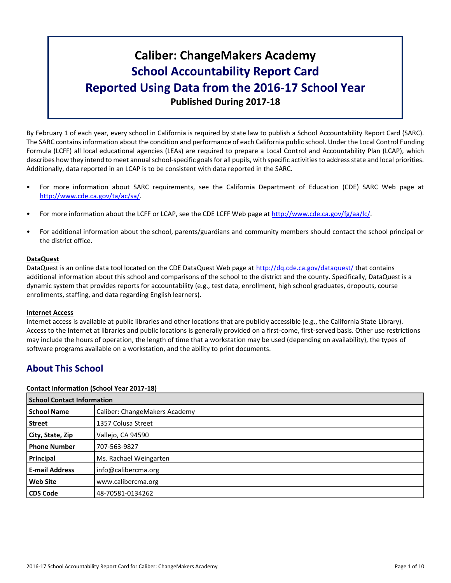# **Caliber: ChangeMakers Academy School Accountability Report Card Reported Using Data from the 2016-17 School Year Published During 2017-18**

By February 1 of each year, every school in California is required by state law to publish a School Accountability Report Card (SARC). The SARC contains information about the condition and performance of each California public school. Under the Local Control Funding Formula (LCFF) all local educational agencies (LEAs) are required to prepare a Local Control and Accountability Plan (LCAP), which describes how they intend to meet annual school-specific goals for all pupils, with specific activities to address state and local priorities. Additionally, data reported in an LCAP is to be consistent with data reported in the SARC.

- For more information about SARC requirements, see the California Department of Education (CDE) SARC Web page at [http://www.cde.ca.gov/ta/ac/sa/.](http://www.cde.ca.gov/ta/ac/sa/)
- For more information about the LCFF or LCAP, see the CDE LCFF Web page at [http://www.cde.ca.gov/fg/aa/lc/.](http://www.cde.ca.gov/fg/aa/lc/)
- For additional information about the school, parents/guardians and community members should contact the school principal or the district office.

### **DataQuest**

DataQuest is an online data tool located on the CDE DataQuest Web page at<http://dq.cde.ca.gov/dataquest/> that contains additional information about this school and comparisons of the school to the district and the county. Specifically, DataQuest is a dynamic system that provides reports for accountability (e.g., test data, enrollment, high school graduates, dropouts, course enrollments, staffing, and data regarding English learners).

### **Internet Access**

Internet access is available at public libraries and other locations that are publicly accessible (e.g., the California State Library). Access to the Internet at libraries and public locations is generally provided on a first-come, first-served basis. Other use restrictions may include the hours of operation, the length of time that a workstation may be used (depending on availability), the types of software programs available on a workstation, and the ability to print documents.

## **About This School**

### **Contact Information (School Year 2017-18)**

| <b>School Contact Information</b> |                               |  |  |  |
|-----------------------------------|-------------------------------|--|--|--|
| <b>School Name</b>                | Caliber: ChangeMakers Academy |  |  |  |
| <b>Street</b>                     | 1357 Colusa Street            |  |  |  |
| City, State, Zip                  | Vallejo, CA 94590             |  |  |  |
| <b>Phone Number</b>               | 707-563-9827                  |  |  |  |
| Principal                         | Ms. Rachael Weingarten        |  |  |  |
| <b>E-mail Address</b>             | info@calibercma.org           |  |  |  |
| <b>Web Site</b>                   | www.calibercma.org            |  |  |  |
| <b>CDS Code</b>                   | 48-70581-0134262              |  |  |  |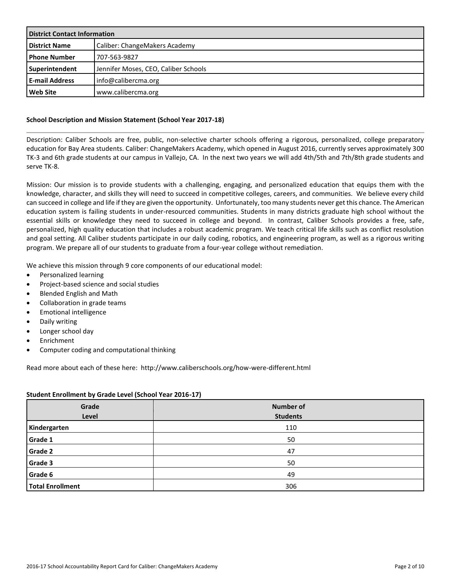| <b>District Contact Information</b> |                                      |  |  |
|-------------------------------------|--------------------------------------|--|--|
| <b>District Name</b>                | Caliber: ChangeMakers Academy        |  |  |
| <b>I Phone Number</b>               | 707-563-9827                         |  |  |
| Superintendent                      | Jennifer Moses, CEO, Caliber Schools |  |  |
| <b>E-mail Address</b>               | info@calibercma.org                  |  |  |
| Web Site                            | www.calibercma.org                   |  |  |

### **School Description and Mission Statement (School Year 2017-18)**

Description: Caliber Schools are free, public, non-selective charter schools offering a rigorous, personalized, college preparatory education for Bay Area students. Caliber: ChangeMakers Academy, which opened in August 2016, currently serves approximately 300 TK-3 and 6th grade students at our campus in Vallejo, CA. In the next two years we will add 4th/5th and 7th/8th grade students and serve TK-8.

Mission: Our mission is to provide students with a challenging, engaging, and personalized education that equips them with the knowledge, character, and skills they will need to succeed in competitive colleges, careers, and communities. We believe every child can succeed in college and life if they are given the opportunity. Unfortunately, too many students never get this chance. The American education system is failing students in under-resourced communities. Students in many districts graduate high school without the essential skills or knowledge they need to succeed in college and beyond. In contrast, Caliber Schools provides a free, safe, personalized, high quality education that includes a robust academic program. We teach critical life skills such as conflict resolution and goal setting. All Caliber students participate in our daily coding, robotics, and engineering program, as well as a rigorous writing program. We prepare all of our students to graduate from a four-year college without remediation.

We achieve this mission through 9 core components of our educational model:

- Personalized learning
- Project-based science and social studies
- Blended English and Math
- Collaboration in grade teams
- Emotional intelligence
- Daily writing
- Longer school day
- **Enrichment**
- Computer coding and computational thinking

Read more about each of these here: http://www.caliberschools.org/how-were-different.html

### **Student Enrollment by Grade Level (School Year 2016-17)**

| Grade<br>Level          | <b>Number of</b><br><b>Students</b> |
|-------------------------|-------------------------------------|
| Kindergarten            | 110                                 |
| Grade 1                 | 50                                  |
| <b>Grade 2</b>          | 47                                  |
| Grade 3                 | 50                                  |
| Grade 6                 | 49                                  |
| <b>Total Enrollment</b> | 306                                 |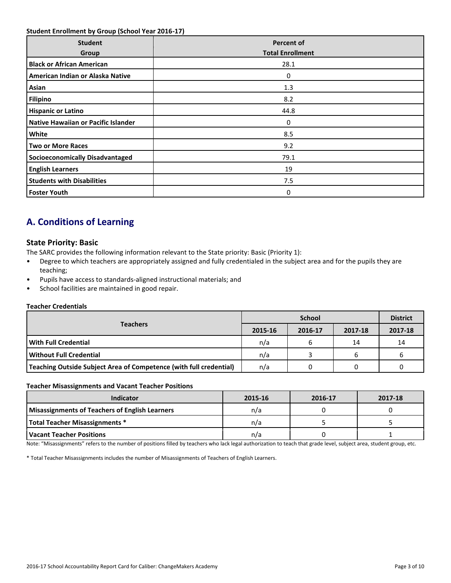### **Student Enrollment by Group (School Year 2016-17)**

| <b>Student</b><br>Group                | <b>Percent of</b><br><b>Total Enrollment</b> |
|----------------------------------------|----------------------------------------------|
| <b>Black or African American</b>       | 28.1                                         |
| American Indian or Alaska Native       | 0                                            |
| Asian                                  | 1.3                                          |
| <b>Filipino</b>                        | 8.2                                          |
| <b>Hispanic or Latino</b>              | 44.8                                         |
| Native Hawaiian or Pacific Islander    | 0                                            |
| White                                  | 8.5                                          |
| <b>Two or More Races</b>               | 9.2                                          |
| <b>Socioeconomically Disadvantaged</b> | 79.1                                         |
| <b>English Learners</b>                | 19                                           |
| <b>Students with Disabilities</b>      | 7.5                                          |
| <b>Foster Youth</b>                    | 0                                            |

## **A. Conditions of Learning**

### **State Priority: Basic**

The SARC provides the following information relevant to the State priority: Basic (Priority 1):

- Degree to which teachers are appropriately assigned and fully credentialed in the subject area and for the pupils they are teaching;
- Pupils have access to standards-aligned instructional materials; and
- School facilities are maintained in good repair.

### **Teacher Credentials**

|                                                                    |         | <b>District</b> |         |         |
|--------------------------------------------------------------------|---------|-----------------|---------|---------|
| <b>Teachers</b>                                                    | 2015-16 | 2016-17         | 2017-18 | 2017-18 |
| With Full Credential                                               | n/a     |                 | 14      | 14      |
| Without Full Credential                                            | n/a     |                 | ь       |         |
| Teaching Outside Subject Area of Competence (with full credential) | n/a     |                 |         |         |

#### **Teacher Misassignments and Vacant Teacher Positions**

| Indicator                                             | 2015-16 | 2016-17 | 2017-18 |
|-------------------------------------------------------|---------|---------|---------|
| <b>Misassignments of Teachers of English Learners</b> | n/a     |         |         |
| <b>Total Teacher Misassignments *</b>                 | n/a     |         |         |
| Vacant Teacher Positions                              | n/a     |         |         |

Note: "Misassignments" refers to the number of positions filled by teachers who lack legal authorization to teach that grade level, subject area, student group, etc.

\* Total Teacher Misassignments includes the number of Misassignments of Teachers of English Learners.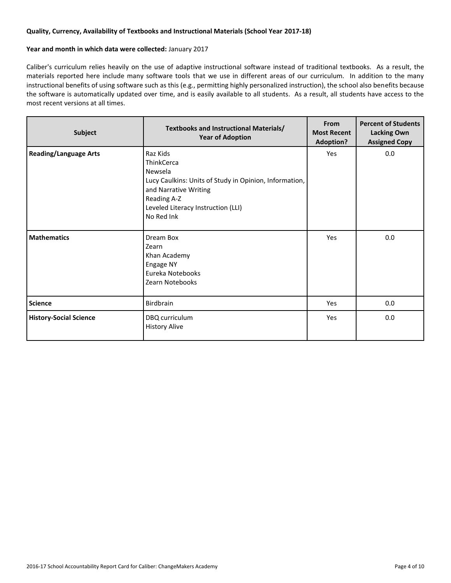### **Quality, Currency, Availability of Textbooks and Instructional Materials (School Year 2017-18)**

#### **Year and month in which data were collected:** January 2017

Caliber's curriculum relies heavily on the use of adaptive instructional software instead of traditional textbooks. As a result, the materials reported here include many software tools that we use in different areas of our curriculum. In addition to the many instructional benefits of using software such as this (e.g., permitting highly personalized instruction), the school also benefits because the software is automatically updated over time, and is easily available to all students. As a result, all students have access to the most recent versions at all times.

| Subject                       | Textbooks and Instructional Materials/<br><b>Year of Adoption</b>                                                                                                                              | From<br><b>Most Recent</b><br><b>Adoption?</b> | <b>Percent of Students</b><br><b>Lacking Own</b><br><b>Assigned Copy</b> |
|-------------------------------|------------------------------------------------------------------------------------------------------------------------------------------------------------------------------------------------|------------------------------------------------|--------------------------------------------------------------------------|
| <b>Reading/Language Arts</b>  | Raz Kids<br><b>ThinkCerca</b><br>Newsela<br>Lucy Caulkins: Units of Study in Opinion, Information,<br>and Narrative Writing<br>Reading A-Z<br>Leveled Literacy Instruction (LLI)<br>No Red Ink | Yes                                            | 0.0                                                                      |
| <b>Mathematics</b>            | Dream Box<br>Zearn<br>Khan Academy<br>Engage NY<br>Eureka Notebooks<br>Zearn Notebooks                                                                                                         | Yes                                            | 0.0                                                                      |
| <b>Science</b>                | <b>Birdbrain</b>                                                                                                                                                                               | Yes                                            | 0.0                                                                      |
| <b>History-Social Science</b> | DBQ curriculum<br><b>History Alive</b>                                                                                                                                                         | Yes                                            | 0.0                                                                      |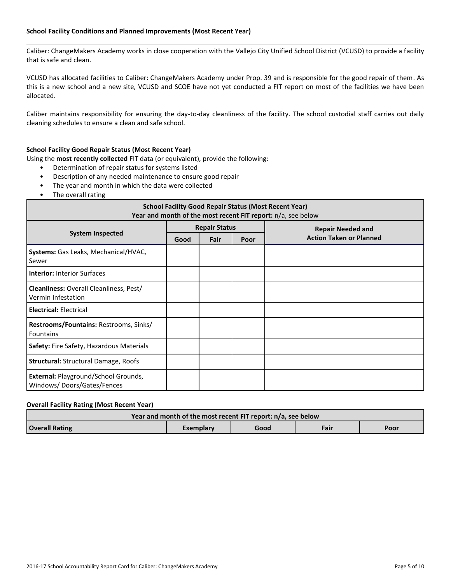### **School Facility Conditions and Planned Improvements (Most Recent Year)**

Caliber: ChangeMakers Academy works in close cooperation with the Vallejo City Unified School District (VCUSD) to provide a facility that is safe and clean.

VCUSD has allocated facilities to Caliber: ChangeMakers Academy under Prop. 39 and is responsible for the good repair of them. As this is a new school and a new site, VCUSD and SCOE have not yet conducted a FIT report on most of the facilities we have been allocated.

Caliber maintains responsibility for ensuring the day-to-day cleanliness of the facility. The school custodial staff carries out daily cleaning schedules to ensure a clean and safe school.

### **School Facility Good Repair Status (Most Recent Year)**

Using the **most recently collected** FIT data (or equivalent), provide the following:

- Determination of repair status for systems listed
- Description of any needed maintenance to ensure good repair
- The year and month in which the data were collected
- The overall rating

| <b>School Facility Good Repair Status (Most Recent Year)</b><br>Year and month of the most recent FIT report: n/a, see below |      |                      |      |                                |  |  |
|------------------------------------------------------------------------------------------------------------------------------|------|----------------------|------|--------------------------------|--|--|
|                                                                                                                              |      | <b>Repair Status</b> |      | <b>Repair Needed and</b>       |  |  |
| <b>System Inspected</b>                                                                                                      | Good | Fair                 | Poor | <b>Action Taken or Planned</b> |  |  |
| Systems: Gas Leaks, Mechanical/HVAC,<br>Sewer                                                                                |      |                      |      |                                |  |  |
| <b>Interior: Interior Surfaces</b>                                                                                           |      |                      |      |                                |  |  |
| Cleanliness: Overall Cleanliness, Pest/<br>Vermin Infestation                                                                |      |                      |      |                                |  |  |
| <b>Electrical: Electrical</b>                                                                                                |      |                      |      |                                |  |  |
| Restrooms/Fountains: Restrooms, Sinks/<br><b>Fountains</b>                                                                   |      |                      |      |                                |  |  |
| Safety: Fire Safety, Hazardous Materials                                                                                     |      |                      |      |                                |  |  |
| Structural: Structural Damage, Roofs                                                                                         |      |                      |      |                                |  |  |
| <b>External: Playground/School Grounds,</b><br>Windows/Doors/Gates/Fences                                                    |      |                      |      |                                |  |  |

### **Overall Facility Rating (Most Recent Year)**

| Year and month of the most recent FIT report: n/a, see below |                                   |  |  |  |  |  |  |  |
|--------------------------------------------------------------|-----------------------------------|--|--|--|--|--|--|--|
| <b>Overall Rating</b>                                        | Fair<br>Good<br>Poor<br>Exemplary |  |  |  |  |  |  |  |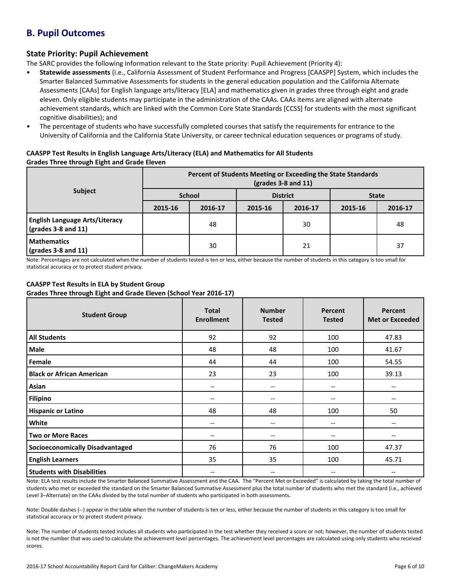## **B. Pupil Outcomes**

### **State Priority: Pupil Achievement**

The SARC provides the following information relevant to the State priority: Pupil Achievement (Priority 4):

- **Statewide assessments** (i.e., California Assessment of Student Performance and Progress [CAASPP] System, which includes the Smarter Balanced Summative Assessments for students in the general education population and the California Alternate Assessments [CAAs] for English language arts/literacy [ELA] and mathematics given in grades three through eight and grade eleven. Only eligible students may participate in the administration of the CAAs. CAAs items are aligned with alternate achievement standards, which are linked with the Common Core State Standards [CCSS] for students with the most significant cognitive disabilities); and
- The percentage of students who have successfully completed courses that satisfy the requirements for entrance to the University of California and the California State University, or career technical education sequences or programs of study.

### **CAASPP Test Results in English Language Arts/Literacy (ELA) and Mathematics for All Students Grades Three through Eight and Grade Eleven**

|                                                                      | Percent of Students Meeting or Exceeding the State Standards<br>$\left($ grades 3-8 and 11 $\right)$ |         |                 |         |              |         |  |
|----------------------------------------------------------------------|------------------------------------------------------------------------------------------------------|---------|-----------------|---------|--------------|---------|--|
| <b>Subject</b>                                                       | <b>School</b>                                                                                        |         | <b>District</b> |         | <b>State</b> |         |  |
|                                                                      | 2015-16                                                                                              | 2016-17 | 2015-16         | 2016-17 | 2015-16      | 2016-17 |  |
| <b>English Language Arts/Literacy</b><br>$\sqrt{grades}$ 3-8 and 11) |                                                                                                      | 48      |                 | 30      |              | 48      |  |
| <b>Mathematics</b><br>$\sqrt{grades}$ 3-8 and 11)                    |                                                                                                      | 30      |                 | 21      |              | 37      |  |

Note: Percentages are not calculated when the number of students tested is ten or less, either because the number of students in this category is too small for statistical accuracy or to protect student privacy.

### **CAASPP Test Results in ELA by Student Group**

**Grades Three through Eight and Grade Eleven (School Year 2016-17)**

| <b>Student Group</b>                   | <b>Total</b><br><b>Enrollment</b> | <b>Number</b><br><b>Tested</b>        | Percent<br><b>Tested</b> | Percent<br><b>Met or Exceeded</b> |
|----------------------------------------|-----------------------------------|---------------------------------------|--------------------------|-----------------------------------|
| <b>All Students</b>                    | 92                                | 92                                    | 100                      | 47.83                             |
| <b>Male</b>                            | 48                                | 48                                    | 100                      | 41.67                             |
| Female                                 | 44                                | 44                                    | 100                      | 54.55                             |
| <b>Black or African American</b>       | 23                                | 23                                    | 100                      | 39.13                             |
| Asian                                  | --                                | $\hspace{0.05cm}$ – $\hspace{0.05cm}$ | --                       | --                                |
| <b>Filipino</b>                        | --                                | $- -$                                 | --                       |                                   |
| <b>Hispanic or Latino</b>              | 48                                | 48                                    | 100                      | 50                                |
| White                                  | --                                | --                                    | --                       | --                                |
| <b>Two or More Races</b>               | --                                | --                                    | $- -$                    | --                                |
| <b>Socioeconomically Disadvantaged</b> | 76                                | 76                                    | 100                      | 47.37                             |
| <b>English Learners</b>                | 35                                | 35                                    | 100                      | 45.71                             |
| <b>Students with Disabilities</b>      | $\overline{\phantom{m}}$          | $- -$                                 | --                       |                                   |

Note: ELA test results include the Smarter Balanced Summative Assessment and the CAA. The "Percent Met or Exceeded" is calculated by taking the total number of students who met or exceeded the standard on the Smarter Balanced Summative Assessment plus the total number of students who met the standard (i.e., achieved Level 3–Alternate) on the CAAs divided by the total number of students who participated in both assessments.

Note: Double dashes (--) appear in the table when the number of students is ten or less, either because the number of students in this category is too small for statistical accuracy or to protect student privacy.

Note: The number of students tested includes all students who participated in the test whether they received a score or not; however, the number of students tested is not the number that was used to calculate the achievement level percentages. The achievement level percentages are calculated using only students who received scores.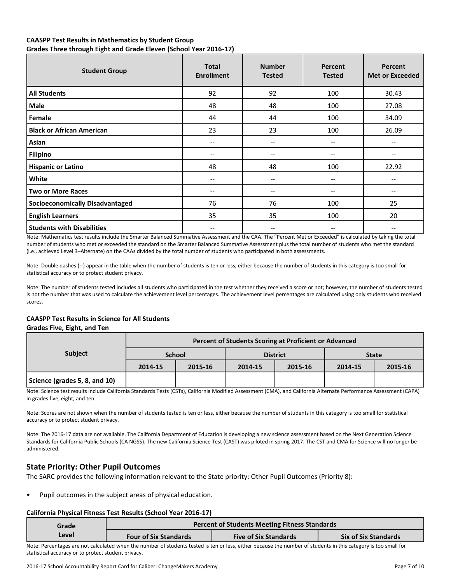### **CAASPP Test Results in Mathematics by Student Group**

**Grades Three through Eight and Grade Eleven (School Year 2016-17)**

| <b>Student Group</b>                   | <b>Total</b><br><b>Enrollment</b> | <b>Number</b><br><b>Tested</b>        | Percent<br><b>Tested</b>              | Percent<br><b>Met or Exceeded</b> |
|----------------------------------------|-----------------------------------|---------------------------------------|---------------------------------------|-----------------------------------|
| <b>All Students</b>                    | 92                                | 92                                    | 100                                   | 30.43                             |
| Male                                   | 48                                | 48                                    | 100                                   | 27.08                             |
| Female                                 | 44                                | 44                                    | 100                                   | 34.09                             |
| <b>Black or African American</b>       | 23                                | 23                                    | 100                                   | 26.09                             |
| Asian                                  | --                                | $\overline{\phantom{m}}$              | --                                    |                                   |
| <b>Filipino</b>                        | --                                | $\hspace{0.05cm}$ – $\hspace{0.05cm}$ | --                                    | --                                |
| <b>Hispanic or Latino</b>              | 48                                | 48                                    | 100                                   | 22.92                             |
| White                                  | --                                | $\hspace{0.05cm} \ldots$              | $\hspace{0.05cm}$ – $\hspace{0.05cm}$ | --                                |
| <b>Two or More Races</b>               | --                                | $\hspace{0.05cm} \ldots$              | --                                    | $- -$                             |
| <b>Socioeconomically Disadvantaged</b> | 76                                | 76                                    | 100                                   | 25                                |
| <b>English Learners</b>                | 35                                | 35                                    | 100                                   | 20                                |
| <b>Students with Disabilities</b>      | --                                | $- -$                                 | --                                    | --                                |

Note: Mathematics test results include the Smarter Balanced Summative Assessment and the CAA. The "Percent Met or Exceeded" is calculated by taking the total number of students who met or exceeded the standard on the Smarter Balanced Summative Assessment plus the total number of students who met the standard (i.e., achieved Level 3–Alternate) on the CAAs divided by the total number of students who participated in both assessments.

Note: Double dashes (--) appear in the table when the number of students is ten or less, either because the number of students in this category is too small for statistical accuracy or to protect student privacy.

Note: The number of students tested includes all students who participated in the test whether they received a score or not; however, the number of students tested is not the number that was used to calculate the achievement level percentages. The achievement level percentages are calculated using only students who received scores.

### **CAASPP Test Results in Science for All Students**

### **Grades Five, Eight, and Ten**

|                               | Percent of Students Scoring at Proficient or Advanced |         |         |                 |              |         |  |  |
|-------------------------------|-------------------------------------------------------|---------|---------|-----------------|--------------|---------|--|--|
| <b>Subject</b>                | <b>School</b>                                         |         |         | <b>District</b> | <b>State</b> |         |  |  |
|                               | 2014-15                                               | 2015-16 | 2014-15 | 2015-16         | 2014-15      | 2015-16 |  |  |
| Science (grades 5, 8, and 10) |                                                       |         |         |                 |              |         |  |  |

Note: Science test results include California Standards Tests (CSTs), California Modified Assessment (CMA), and California Alternate Performance Assessment (CAPA) in grades five, eight, and ten.

Note: Scores are not shown when the number of students tested is ten or less, either because the number of students in this category is too small for statistical accuracy or to protect student privacy.

Note: The 2016-17 data are not available. The California Department of Education is developing a new science assessment based on the Next Generation Science Standards for California Public Schools (CA NGSS). The new California Science Test (CAST) was piloted in spring 2017. The CST and CMA for Science will no longer be administered.

### **State Priority: Other Pupil Outcomes**

The SARC provides the following information relevant to the State priority: Other Pupil Outcomes (Priority 8):

Pupil outcomes in the subject areas of physical education.

#### **California Physical Fitness Test Results (School Year 2016-17)**

| Grade |                              | <b>Percent of Students Meeting Fitness Standards</b> |                             |  |  |  |  |  |
|-------|------------------------------|------------------------------------------------------|-----------------------------|--|--|--|--|--|
| Level | <b>Four of Six Standards</b> | <b>Five of Six Standards</b>                         | <b>Six of Six Standards</b> |  |  |  |  |  |
|       |                              |                                                      |                             |  |  |  |  |  |

Note: Percentages are not calculated when the number of students tested is ten or less, either because the number of students in this category is too small for statistical accuracy or to protect student privacy.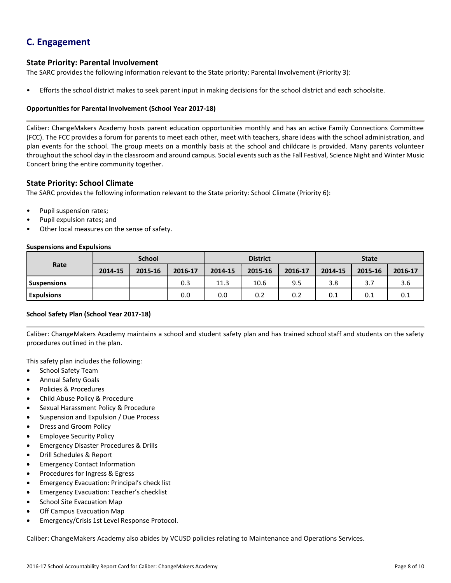## **C. Engagement**

### **State Priority: Parental Involvement**

The SARC provides the following information relevant to the State priority: Parental Involvement (Priority 3):

• Efforts the school district makes to seek parent input in making decisions for the school district and each schoolsite.

### **Opportunities for Parental Involvement (School Year 2017-18)**

Caliber: ChangeMakers Academy hosts parent education opportunities monthly and has an active Family Connections Committee (FCC). The FCC provides a forum for parents to meet each other, meet with teachers, share ideas with the school administration, and plan events for the school. The group meets on a monthly basis at the school and childcare is provided. Many parents volunteer throughout the school day in the classroom and around campus. Social events such as the Fall Festival, Science Night and Winter Music Concert bring the entire community together.

### **State Priority: School Climate**

The SARC provides the following information relevant to the State priority: School Climate (Priority 6):

- Pupil suspension rates;
- Pupil expulsion rates; and
- Other local measures on the sense of safety.

#### **Suspensions and Expulsions**

|                    | <b>School</b> |         |         | <b>District</b> |         |         | <b>State</b> |         |         |
|--------------------|---------------|---------|---------|-----------------|---------|---------|--------------|---------|---------|
| Rate               | 2014-15       | 2015-16 | 2016-17 | 2014-15         | 2015-16 | 2016-17 | 2014-15      | 2015-16 | 2016-17 |
| <b>Suspensions</b> |               |         | 0.3     | 11.3            | 10.6    | 9.5     | 3.8          | 3.7     | 3.6     |
| <b>Expulsions</b>  |               |         | 0.0     | 0.0             | 0.2     | 0.2     | 0.1          | 0.1     | 0.1     |

### **School Safety Plan (School Year 2017-18)**

Caliber: ChangeMakers Academy maintains a school and student safety plan and has trained school staff and students on the safety procedures outlined in the plan.

This safety plan includes the following:

- School Safety Team
- Annual Safety Goals
- Policies & Procedures
- Child Abuse Policy & Procedure
- Sexual Harassment Policy & Procedure
- Suspension and Expulsion / Due Process
- Dress and Groom Policy
- Employee Security Policy
- Emergency Disaster Procedures & Drills
- Drill Schedules & Report
- **Emergency Contact Information**
- Procedures for Ingress & Egress
- Emergency Evacuation: Principal's check list
- Emergency Evacuation: Teacher's checklist
- School Site Evacuation Map
- Off Campus Evacuation Map
- Emergency/Crisis 1st Level Response Protocol.

Caliber: ChangeMakers Academy also abides by VCUSD policies relating to Maintenance and Operations Services.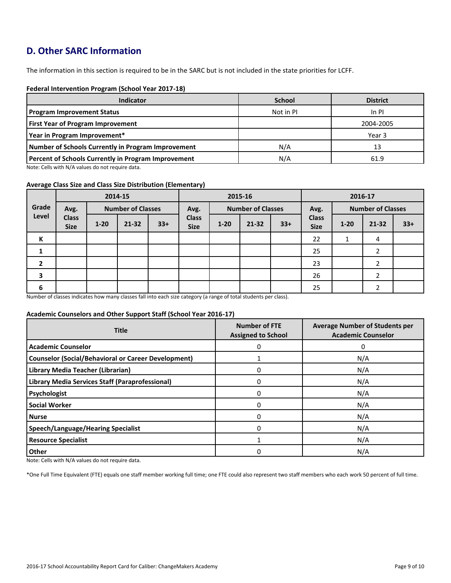## **D. Other SARC Information**

The information in this section is required to be in the SARC but is not included in the state priorities for LCFF.

### **Federal Intervention Program (School Year 2017-18)**

| <b>Indicator</b>                                           | <b>School</b> | <b>District</b> |
|------------------------------------------------------------|---------------|-----------------|
| <b>Program Improvement Status</b>                          | Not in PI     | In PI           |
| <b>First Year of Program Improvement</b>                   |               | 2004-2005       |
| Year in Program Improvement*                               |               | Year 3          |
| Number of Schools Currently in Program Improvement         | N/A           | 13              |
| <b>Percent of Schools Currently in Program Improvement</b> | N/A           | 61.9            |

Note: Cells with N/A values do not require data.

#### **Average Class Size and Class Size Distribution (Elementary)**

|                | 2014-15                          |          |           | 2015-16                          |                             |          |                                  | 2016-17 |                             |          |       |       |
|----------------|----------------------------------|----------|-----------|----------------------------------|-----------------------------|----------|----------------------------------|---------|-----------------------------|----------|-------|-------|
| Grade          | <b>Number of Classes</b><br>Avg. |          |           | <b>Number of Classes</b><br>Avg. |                             |          | <b>Number of Classes</b><br>Avg. |         |                             |          |       |       |
| Level          | <b>Class</b><br><b>Size</b>      | $1 - 20$ | $21 - 32$ | $33+$                            | <b>Class</b><br><b>Size</b> | $1 - 20$ | $21 - 32$                        | $33+$   | <b>Class</b><br><b>Size</b> | $1 - 20$ | 21-32 | $33+$ |
| К              |                                  |          |           |                                  |                             |          |                                  |         | 22                          | 1        | 4     |       |
|                |                                  |          |           |                                  |                             |          |                                  |         | 25                          |          |       |       |
| $\overline{2}$ |                                  |          |           |                                  |                             |          |                                  |         | 23                          |          | 2     |       |
| 3              |                                  |          |           |                                  |                             |          |                                  |         | 26                          |          |       |       |
| 6              |                                  |          |           |                                  |                             |          |                                  |         | 25                          |          |       |       |

Number of classes indicates how many classes fall into each size category (a range of total students per class).

### **Academic Counselors and Other Support Staff (School Year 2016-17)**

| <b>Title</b>                                               | <b>Number of FTE</b><br><b>Assigned to School</b> | <b>Average Number of Students per</b><br><b>Academic Counselor</b> |
|------------------------------------------------------------|---------------------------------------------------|--------------------------------------------------------------------|
| <b>Academic Counselor</b>                                  | 0                                                 | 0                                                                  |
| <b>Counselor (Social/Behavioral or Career Development)</b> |                                                   | N/A                                                                |
| Library Media Teacher (Librarian)                          |                                                   | N/A                                                                |
| Library Media Services Staff (Paraprofessional)            |                                                   | N/A                                                                |
| Psychologist                                               | 0                                                 | N/A                                                                |
| <b>Social Worker</b>                                       | 0                                                 | N/A                                                                |
| <b>Nurse</b>                                               | 0                                                 | N/A                                                                |
| <b>Speech/Language/Hearing Specialist</b>                  | 0                                                 | N/A                                                                |
| <b>Resource Specialist</b>                                 |                                                   | N/A                                                                |
| <b>Other</b>                                               |                                                   | N/A                                                                |

Note: Cells with N/A values do not require data.

\*One Full Time Equivalent (FTE) equals one staff member working full time; one FTE could also represent two staff members who each work 50 percent of full time.